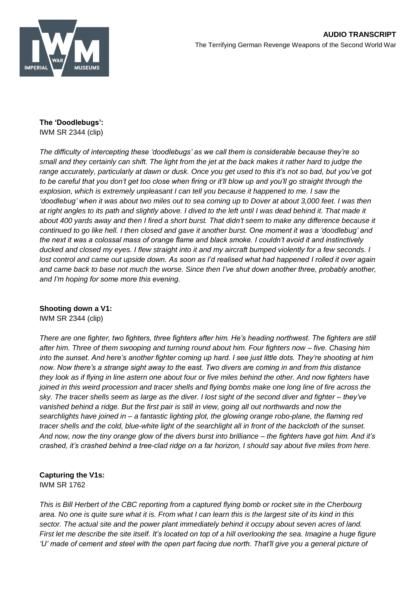

## **The 'Doodlebugs':** IWM SR 2344 (clip)

*The difficulty of intercepting these 'doodlebugs' as we call them is considerable because they're so small and they certainly can shift. The light from the jet at the back makes it rather hard to judge the range accurately, particularly at dawn or dusk. Once you get used to this it's not so bad, but you've got to be careful that you don't get too close when firing or it'll blow up and you'll go straight through the explosion, which is extremely unpleasant I can tell you because it happened to me. I saw the 'doodlebug' when it was about two miles out to sea coming up to Dover at about 3,000 feet. I was then at right angles to its path and slightly above. I dived to the left until I was dead behind it. That made it about 400 yards away and then I fired a short burst. That didn't seem to make any difference because it continued to go like hell. I then closed and gave it another burst. One moment it was a 'doodlebug' and the next it was a colossal mass of orange flame and black smoke. I couldn't avoid it and instinctively ducked and closed my eyes. I flew straight into it and my aircraft bumped violently for a few seconds. I lost control and came out upside down. As soon as I'd realised what had happened I rolled it over again and came back to base not much the worse. Since then I've shut down another three, probably another, and I'm hoping for some more this evening.*

## **Shooting down a V1:**

IWM SR 2344 (clip)

*There are one fighter, two fighters, three fighters after him. He's heading northwest. The fighters are still after him. Three of them swooping and turning round about him. Four fighters now – five. Chasing him into the sunset. And here's another fighter coming up hard. I see just little dots. They're shooting at him now. Now there's a strange sight away to the east. Two divers are coming in and from this distance they look as if flying in line astern one about four or five miles behind the other. And now fighters have joined in this weird procession and tracer shells and flying bombs make one long line of fire across the sky. The tracer shells seem as large as the diver. I lost sight of the second diver and fighter – they've vanished behind a ridge. But the first pair is still in view, going all out northwards and now the searchlights have joined in – a fantastic lighting plot, the glowing orange robo-plane, the flaming red tracer shells and the cold, blue-white light of the searchlight all in front of the backcloth of the sunset. And now, now the tiny orange glow of the divers burst into brilliance – the fighters have got him. And it's crashed, it's crashed behind a tree-clad ridge on a far horizon, I should say about five miles from here.*

## **Capturing the V1s:** IWM SR 1762

*This is Bill Herbert of the CBC reporting from a captured flying bomb or rocket site in the Cherbourg area. No one is quite sure what it is. From what I can learn this is the largest site of its kind in this sector. The actual site and the power plant immediately behind it occupy about seven acres of land. First let me describe the site itself. It's located on top of a hill overlooking the sea. Imagine a huge figure 'U' made of cement and steel with the open part facing due north. That'll give you a general picture of*